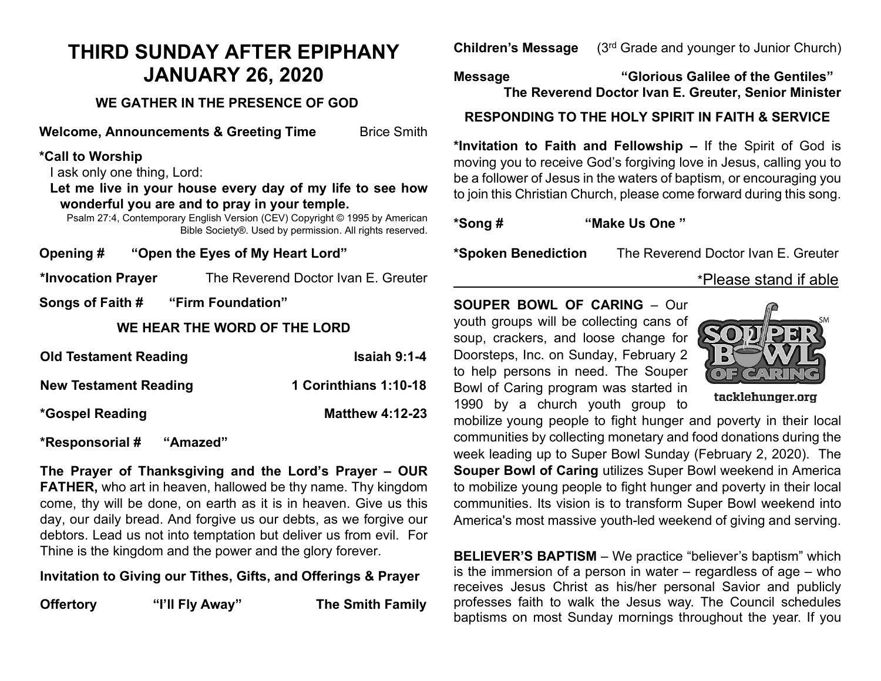# **THIRD SUNDAY AFTER EPIPHANY JANUARY 26, 2020**

# **WE GATHER IN THE PRESENCE OF GOD**

**Welcome, Announcements & Greeting Time** Brice Smith

## **\*Call to Worship**

I ask only one thing, Lord:

**Let me live in your house every day of my life to see how wonderful you are and to pray in your temple.**

Psalm 27:4, Contemporary English Version (CEV) Copyright © 1995 by American Bible Society®. Used by permission. All rights reserved.

**Opening # "Open the Eyes of My Heart Lord"**

**\*Invocation Prayer** The Reverend Doctor Ivan E. Greuter

**Songs of Faith # "Firm Foundation"** 

#### **WE HEAR THE WORD OF THE LORD**

| <b>Old Testament Reading</b> | <b>Isaiah 9:1-4</b>    |
|------------------------------|------------------------|
| <b>New Testament Reading</b> | 1 Corinthians 1:10-18  |
| <i>*Gospel Reading</i>       | <b>Matthew 4:12-23</b> |

**\*Responsorial # "Amazed"**

**The Prayer of Thanksgiving and the Lord's Prayer – OUR FATHER,** who art in heaven, hallowed be thy name. Thy kingdom come, thy will be done, on earth as it is in heaven. Give us this day, our daily bread. And forgive us our debts, as we forgive our debtors. Lead us not into temptation but deliver us from evil. For Thine is the kingdom and the power and the glory forever.

## **Invitation to Giving our Tithes, Gifts, and Offerings & Prayer**

**Offertory "I'll Fly Away"** The Smith Family

**Children's Message** (3rd Grade and younger to Junior Church)

**Message "Glorious Galilee of the Gentiles" The Reverend Doctor Ivan E. Greuter, Senior Minister**

# **RESPONDING TO THE HOLY SPIRIT IN FAITH & SERVICE**

**\*Invitation to Faith and Fellowship –** If the Spirit of God is moving you to receive God's forgiving love in Jesus, calling you to be a follower of Jesus in the waters of baptism, or encouraging you to join this Christian Church, please come forward during this song.

**\*Song # "Make Us One "** 

**\*Spoken Benediction** The Reverend Doctor Ivan E. Greuter

# \*Please stand if able

**SOUPER BOWL OF CARING** – Our youth groups will be collecting cans of soup, crackers, and loose change for Doorsteps, Inc. on Sunday, February 2 to help persons in need. The Souper

Bowl of Caring program was started in



tacklehunger.org

1990 by a church youth group to mobilize young people to fight hunger and poverty in their local communities by collecting monetary and food donations during the week leading up to Super Bowl Sunday (February 2, 2020). The **Souper Bowl of Caring** utilizes Super Bowl weekend in America to mobilize young people to fight hunger and poverty in their local communities. Its vision is to transform Super Bowl weekend into America's most massive youth-led weekend of giving and serving.

**BELIEVER'S BAPTISM** – We practice "believer's baptism" which is the immersion of a person in water – regardless of age – who receives Jesus Christ as his/her personal Savior and publicly professes faith to walk the Jesus way. The Council schedules baptisms on most Sunday mornings throughout the year. If you